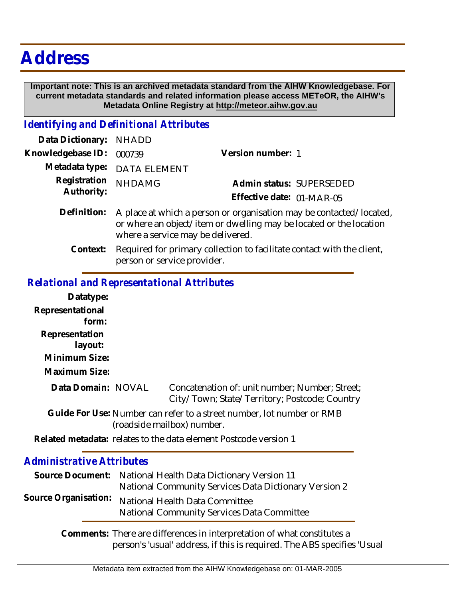# **Address**

 **Important note: This is an archived metadata standard from the AIHW Knowledgebase. For current metadata standards and related information please access METeOR, the AIHW's Metadata Online Registry at http://meteor.aihw.gov.au**

#### *Identifying and Definitional Attributes*

| Data Dictionary: NHADD     |                                                                                                                                                                                |                           |
|----------------------------|--------------------------------------------------------------------------------------------------------------------------------------------------------------------------------|---------------------------|
| Knowledgebase ID:          | 000739                                                                                                                                                                         | Version number: 1         |
|                            | Metadata type: DATA ELEMENT                                                                                                                                                    |                           |
| Registration<br>Authority: | <b>NHDAMG</b>                                                                                                                                                                  | Admin status: SUPERSEDED  |
|                            |                                                                                                                                                                                | Effective date: 01-MAR-05 |
| Definition:                | A place at which a person or organisation may be contacted/located,<br>or where an object/item or dwelling may be located or the location<br>where a service may be delivered. |                           |
| Context:                   | Required for primary collection to facilitate contact with the client,                                                                                                         |                           |

## *Relational and Representational Attributes*

person or service provider.

### **Datatype: Representational form: Representation layout: Minimum Size: Maximum Size:** Concatenation of: unit number; Number; Street; City/Town; State/Territory; Postcode; Country Guide For Use: Number can refer to a street number, lot number or RMB (roadside mailbox) number. Related metadata: relates to the data element Postcode version 1 *Administrative Attributes* Source Document: National Health Data Dictionary Version 11 National Community Services Data Dictionary Version 2 National Health Data Committee National Community Services Data Committee **Source Organisation: Data Domain:**

Comments: There are differences in interpretation of what constitutes a person's 'usual' address, if this is required. The ABS specifies 'Usual